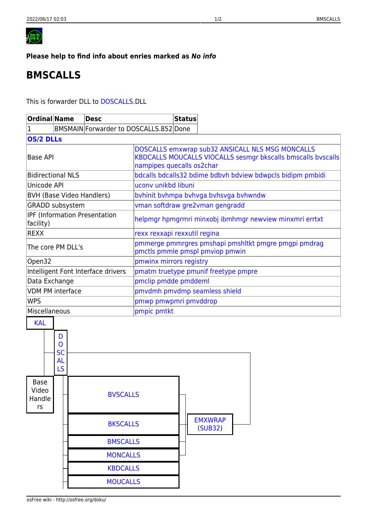<span id="page-0-0"></span>

## Please help to find info about enries marked as No info

## **BMSCALLS**

This is forwarder DLL to DOSCALLS.DLL

| <b>Ordinal Name</b>                         |                                                   |                 | <b>Desc</b>     |                                                                                                                                               | <b>Status</b> |                           |  |
|---------------------------------------------|---------------------------------------------------|-----------------|-----------------|-----------------------------------------------------------------------------------------------------------------------------------------------|---------------|---------------------------|--|
| BMSMAIN Forwarder to DOSCALLS.852 Done<br>1 |                                                   |                 |                 |                                                                                                                                               |               |                           |  |
| <b>OS/2 DLLs</b>                            |                                                   |                 |                 |                                                                                                                                               |               |                           |  |
| Base API                                    |                                                   |                 |                 | DOSCALLS emxwrap sub32 ANSICALL NLS MSG MONCALLS<br>KBDCALLS MOUCALLS VIOCALLS sesmgr bkscalls bmscalls byscalls<br>nampipes quecalls os2char |               |                           |  |
| <b>Bidirectional NLS</b>                    |                                                   |                 |                 | bdcalls bdcalls32 bdime bdbvh bdview bdwpcls bidipm pmbidi                                                                                    |               |                           |  |
| Unicode API                                 |                                                   |                 |                 | uconv unikbd libuni                                                                                                                           |               |                           |  |
| <b>BVH (Base Video Handlers)</b>            |                                                   |                 |                 | byhinit byhmpa byhyga byhsyga byhwndw                                                                                                         |               |                           |  |
| GRADD subsystem                             |                                                   |                 |                 | vman softdraw gre2vman gengradd                                                                                                               |               |                           |  |
| IPF (Information Presentation<br>facility)  |                                                   |                 |                 | helpmgr hpmgrmri minxobj ibmhmgr newview minxmri errtxt                                                                                       |               |                           |  |
| REXX                                        |                                                   |                 |                 | rexx rexxapi rexxutil regina                                                                                                                  |               |                           |  |
| The core PM DLL's                           |                                                   |                 |                 | pmmerge pmmrgres pmshapi pmshltkt pmgre pmgpi pmdrag<br>pmctls pmmle pmspl pmviop pmwin                                                       |               |                           |  |
| Open32                                      |                                                   |                 |                 | pmwinx mirrors registry                                                                                                                       |               |                           |  |
| Intelligent Font Interface drivers          |                                                   |                 |                 | pmatm truetype pmunif freetype pmpre                                                                                                          |               |                           |  |
| Data Exchange                               |                                                   |                 |                 | pmclip pmdde pmddeml                                                                                                                          |               |                           |  |
| <b>VDM PM interface</b>                     |                                                   |                 |                 | pmvdmh pmvdmp seamless shield                                                                                                                 |               |                           |  |
| <b>WPS</b>                                  |                                                   |                 |                 | pmwp pmwpmri pmvddrop                                                                                                                         |               |                           |  |
| Miscellaneous                               |                                                   |                 |                 | pmpic pmtkt                                                                                                                                   |               |                           |  |
| <b>KAL</b>                                  | D<br>$\mathbf{O}$<br><b>SC</b><br>AL<br><b>LS</b> |                 |                 |                                                                                                                                               |               |                           |  |
| <b>Base</b><br>Video<br>Handle<br>rs        | <b>BVSCALLS</b>                                   |                 |                 |                                                                                                                                               |               |                           |  |
|                                             |                                                   |                 | <b>BKSCALLS</b> |                                                                                                                                               |               | <b>EMXWRAP</b><br>(SUB32) |  |
|                                             |                                                   |                 | <b>BMSCALLS</b> |                                                                                                                                               |               |                           |  |
|                                             |                                                   |                 | <b>MONCALLS</b> |                                                                                                                                               |               |                           |  |
|                                             |                                                   | <b>KBDCALLS</b> |                 |                                                                                                                                               |               |                           |  |
|                                             |                                                   | <b>MOUCALLS</b> |                 |                                                                                                                                               |               |                           |  |